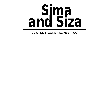### **Sima and Siza**

Claire Ingram, Lwando Xaso, Arthur Attwell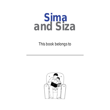# Sima<br>and Siza

This book belongs to

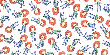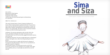

*Sima and Siza* Illustrated by CClaire Ingram Written by Lwando Xaso Designed by Arthur Attwell with the help of the Book Dash participants in Johannesburg on 27 June 2015.

### ISBN: 978-1-928318-24-8

This work is licensed under a Creative Commons Attribution 4.0 Licence (http://creativecommons.org/licenses/by/4.0/). You are free to share (copy and redistribute the material in any medium or format) and adapt (remix, transform, and build upon the material) this work for any purpose, even commercially. The licensor cannot revoke these freedoms as long as you follow the following license terms:

## **Sima and Siza**

Attribution: You must give appropriate credit, provide a link to the license, and indicate if changes were made. You may do so in any reasonable manner, but not in any way that suggests the licensor endorses you or your use.

No additional restrictions: You may not apply legal terms or technological measures that legally restrict others from doing anything the license permits.

Notices: You do not have to comply with the license for elements of the material in the public domain or where your use is permitted by an applicable exception or limitation.

No warranties are given. The license may not give you all of the permissions necessary for your intended use. For example, other rights such as publicity, privacy, or moral rights may limit how you use the material.

Claire Ingram, Lwando Xaso and Arthur Attwell



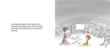Simamkele loves dolls. Mama buys him lots. They keep his loneliness away. Sima's favourite doll is Siza. Sima wants to be a nurse when he grows up.

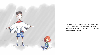

He loves to put on Mama's skirt, and twirl. Like magic, he suddenly becomes Sima the nurse. He plays hospital-hospital and makes sickly Siza and all his dolls better.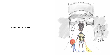Wherever Sima is, Siza is there too.

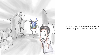

But Sima's friends do not like Siza. One day, they took him away and stuck his head in the toilet.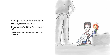When Papa came home, Sima was nursing Siza.

'What are you doing?' asked Papa.

'I'm being a nurse,' said Sima. 'Will you play with me?'

'Yes. But we will go to the park and play soccer,' said Papa.

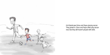

His friends saw Sima and Papa playing soccer. They joined in. Sima and Papa often play soccer now. But they still haven't played with dolls.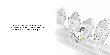One day, Sima was playing hospital-hospital with his dolls. He heard Mama shout. 'Sima! Run! Papa is waiting to play with you at the park.'

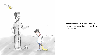

'Why on earth are you wearing a dress?' said Papa in an angry voice. Just then a ball flew out of nowhere and …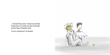… knocked Papa down. Everyone panicked. Except Sima. He knelt and tied his blanket around Papa's bleeding head.

'Call an ambulance!' he shouted.

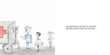

'He needs stiches in his head. You did just the right thing,' said the nurse. Sima was proud.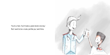'You're a hero. You'll make a great doctor one day.' 'But I want to be a nurse, just like you,' said Sima.

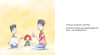

'Thank you, Nurse Sima,' said Papa. Now Sima and Papa play hospital-hospital and soccer – and his friends do too.